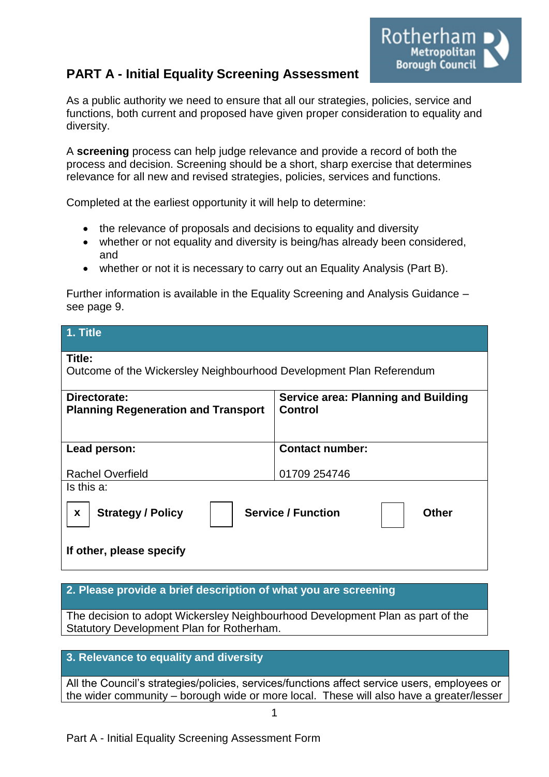# **PART A - Initial Equality Screening Assessment**

Rotherham **Metropolitan** Borough Council

As a public authority we need to ensure that all our strategies, policies, service and functions, both current and proposed have given proper consideration to equality and diversity.

A **screening** process can help judge relevance and provide a record of both the process and decision. Screening should be a short, sharp exercise that determines relevance for all new and revised strategies, policies, services and functions.

Completed at the earliest opportunity it will help to determine:

- the relevance of proposals and decisions to equality and diversity
- whether or not equality and diversity is being/has already been considered, and
- whether or not it is necessary to carry out an Equality Analysis (Part B).

Further information is available in the Equality Screening and Analysis Guidance – see page 9.

| 1. Title                                                                                                                            |                                                |  |  |
|-------------------------------------------------------------------------------------------------------------------------------------|------------------------------------------------|--|--|
| Title:                                                                                                                              |                                                |  |  |
| Outcome of the Wickersley Neighbourhood Development Plan Referendum                                                                 |                                                |  |  |
| Directorate:<br><b>Planning Regeneration and Transport</b>                                                                          | Service area: Planning and Building<br>Control |  |  |
| Lead person:                                                                                                                        | <b>Contact number:</b>                         |  |  |
| <b>Rachel Overfield</b>                                                                                                             | 01709 254746                                   |  |  |
| Is this a:<br><b>Service / Function</b><br><b>Strategy / Policy</b><br><b>Other</b><br>$\boldsymbol{x}$<br>If other, please specify |                                                |  |  |

#### **2. Please provide a brief description of what you are screening**

The decision to adopt Wickersley Neighbourhood Development Plan as part of the Statutory Development Plan for Rotherham.

#### **3. Relevance to equality and diversity**

All the Council's strategies/policies, services/functions affect service users, employees or the wider community – borough wide or more local. These will also have a greater/lesser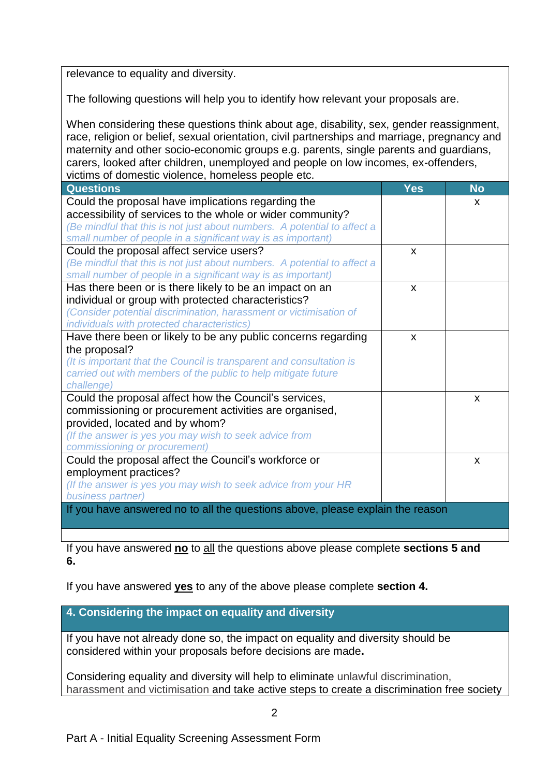relevance to equality and diversity.

The following questions will help you to identify how relevant your proposals are.

When considering these questions think about age, disability, sex, gender reassignment, race, religion or belief, sexual orientation, civil partnerships and marriage, pregnancy and maternity and other socio-economic groups e.g. parents, single parents and guardians, carers, looked after children, unemployed and people on low incomes, ex-offenders, victims of domestic violence, homeless people etc.

| <b>Questions</b>                                                              | <b>Yes</b>   | <b>No</b> |
|-------------------------------------------------------------------------------|--------------|-----------|
| Could the proposal have implications regarding the                            |              | X         |
| accessibility of services to the whole or wider community?                    |              |           |
| (Be mindful that this is not just about numbers. A potential to affect a      |              |           |
| small number of people in a significant way is as important)                  |              |           |
| Could the proposal affect service users?                                      | X            |           |
| (Be mindful that this is not just about numbers. A potential to affect a      |              |           |
| small number of people in a significant way is as important)                  |              |           |
| Has there been or is there likely to be an impact on an                       | X            |           |
| individual or group with protected characteristics?                           |              |           |
| (Consider potential discrimination, harassment or victimisation of            |              |           |
| individuals with protected characteristics)                                   |              |           |
| Have there been or likely to be any public concerns regarding                 | $\mathsf{x}$ |           |
| the proposal?                                                                 |              |           |
| (It is important that the Council is transparent and consultation is          |              |           |
| carried out with members of the public to help mitigate future                |              |           |
| challenge)                                                                    |              |           |
| Could the proposal affect how the Council's services,                         |              | X         |
| commissioning or procurement activities are organised,                        |              |           |
| provided, located and by whom?                                                |              |           |
| (If the answer is yes you may wish to seek advice from                        |              |           |
| commissioning or procurement)                                                 |              |           |
| Could the proposal affect the Council's workforce or                          |              | X         |
| employment practices?                                                         |              |           |
| (If the answer is yes you may wish to seek advice from your HR                |              |           |
| business partner)                                                             |              |           |
| If you have answered no to all the questions above, please explain the reason |              |           |
|                                                                               |              |           |

If you have answered **no** to all the questions above please complete **sections 5 and 6.**

If you have answered **yes** to any of the above please complete **section 4.** 

**4. Considering the impact on equality and diversity**

If you have not already done so, the impact on equality and diversity should be considered within your proposals before decisions are made**.**

Considering equality and diversity will help to eliminate unlawful discrimination, harassment and victimisation and take active steps to create a discrimination free society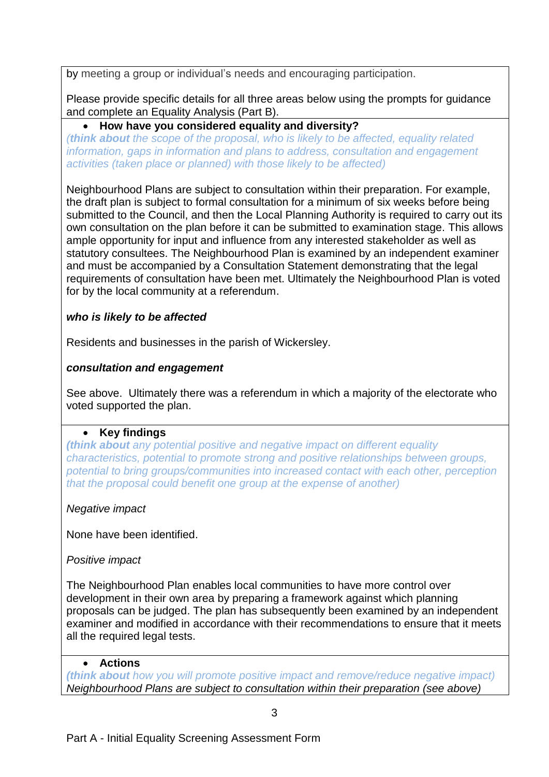by meeting a group or individual's needs and encouraging participation.

Please provide specific details for all three areas below using the prompts for guidance and complete an Equality Analysis (Part B).

# **How have you considered equality and diversity?**

*(think about the scope of the proposal, who is likely to be affected, equality related information, gaps in information and plans to address, consultation and engagement activities (taken place or planned) with those likely to be affected)*

Neighbourhood Plans are subject to consultation within their preparation. For example, the draft plan is subject to formal consultation for a minimum of six weeks before being submitted to the Council, and then the Local Planning Authority is required to carry out its own consultation on the plan before it can be submitted to examination stage. This allows ample opportunity for input and influence from any interested stakeholder as well as statutory consultees. The Neighbourhood Plan is examined by an independent examiner and must be accompanied by a Consultation Statement demonstrating that the legal requirements of consultation have been met. Ultimately the Neighbourhood Plan is voted for by the local community at a referendum.

# *who is likely to be affected*

Residents and businesses in the parish of Wickersley.

## *consultation and engagement*

See above. Ultimately there was a referendum in which a majority of the electorate who voted supported the plan.

## **Key findings**

*(think about any potential positive and negative impact on different equality characteristics, potential to promote strong and positive relationships between groups, potential to bring groups/communities into increased contact with each other, perception that the proposal could benefit one group at the expense of another)*

*Negative impact* 

None have been identified.

*Positive impact* 

The Neighbourhood Plan enables local communities to have more control over development in their own area by preparing a framework against which planning proposals can be judged. The plan has subsequently been examined by an independent examiner and modified in accordance with their recommendations to ensure that it meets all the required legal tests.

## **Actions**

*(think about how you will promote positive impact and remove/reduce negative impact) Neighbourhood Plans are subject to consultation within their preparation (see above)*